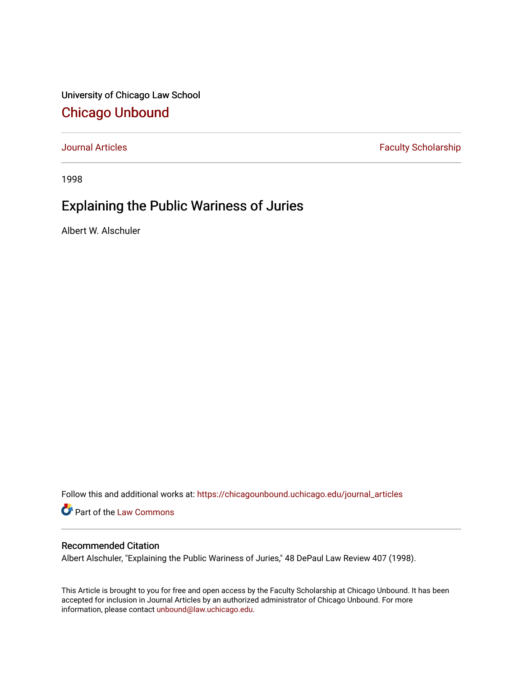University of Chicago Law School [Chicago Unbound](https://chicagounbound.uchicago.edu/)

[Journal Articles](https://chicagounbound.uchicago.edu/journal_articles) **Faculty Scholarship Faculty Scholarship** 

1998

# Explaining the Public Wariness of Juries

Albert W. Alschuler

Follow this and additional works at: [https://chicagounbound.uchicago.edu/journal\\_articles](https://chicagounbound.uchicago.edu/journal_articles?utm_source=chicagounbound.uchicago.edu%2Fjournal_articles%2F977&utm_medium=PDF&utm_campaign=PDFCoverPages) 

Part of the [Law Commons](http://network.bepress.com/hgg/discipline/578?utm_source=chicagounbound.uchicago.edu%2Fjournal_articles%2F977&utm_medium=PDF&utm_campaign=PDFCoverPages)

# Recommended Citation

Albert Alschuler, "Explaining the Public Wariness of Juries," 48 DePaul Law Review 407 (1998).

This Article is brought to you for free and open access by the Faculty Scholarship at Chicago Unbound. It has been accepted for inclusion in Journal Articles by an authorized administrator of Chicago Unbound. For more information, please contact [unbound@law.uchicago.edu](mailto:unbound@law.uchicago.edu).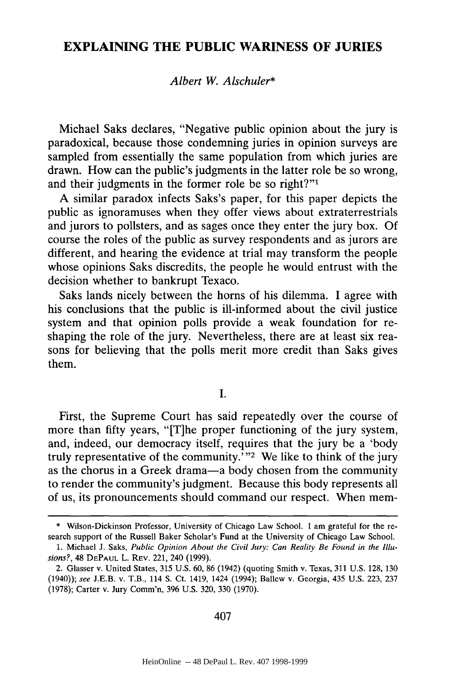# **EXPLAINING THE PUBLIC WARINESS OF JURIES**

## *Albert W. Alschuler\**

Michael Saks declares, "Negative public opinion about the jury is paradoxical, because those condemning juries in opinion surveys are sampled from essentially the same population from which juries are drawn. How can the public's judgments in the latter role be so wrong, and their judgments in the former role be so right?"<sup>1</sup>

A similar paradox infects Saks's paper, for this paper depicts the public as ignoramuses when they offer views about extraterrestrials and jurors to pollsters, and as sages once they enter the jury box. Of course the roles of the public as survey respondents and as jurors are different, and hearing the evidence at trial may transform the people whose opinions Saks discredits, the people he would entrust with the decision whether to bankrupt Texaco.

Saks lands nicely between the horns of his dilemma. I agree with his conclusions that the public is ill-informed about the civil justice system and that opinion polls provide a weak foundation for reshaping the role of the jury. Nevertheless, there are at least six reasons for believing that the polls merit more credit than Saks gives them.

I.

First, the Supreme Court has said repeatedly over the course of more than fifty years, "[T]he proper functioning of the jury system, and, indeed, our democracy itself, requires that the jury be a 'body truly representative of the community.' $v^2$  We like to think of the jury as the chorus in a Greek drama-a body chosen from the community to render the community's judgment. Because this body represents all of us, its pronouncements should command our respect. When mem-

<sup>\*</sup> Wilson-Dickinson Professor, University of Chicago Law School. I am grateful for the research support of the Russell Baker Scholar's Fund at the University of Chicago Law School.

<sup>1.</sup> Michael J. Saks, *Public Opinion About the Civil Jury: Can Reality Be Found in the Illusions?*, 48 DEPAUL L. REV. 221, 240 (1999).

<sup>2.</sup> Glasser v. United States, 315 U.S. 60, 86 (1942) (quoting Smith v. Texas, 311 U.S. 128, 130 (1940)); *see* J.E.B. v. T.B., 114 **S.** Ct. 1419, 1424 (1994); Ballew v. Georgia, 435 U.S. 223, 237 (1978); Carter v. Jury Comm'n, 396 U.S. 320, 330 (1970).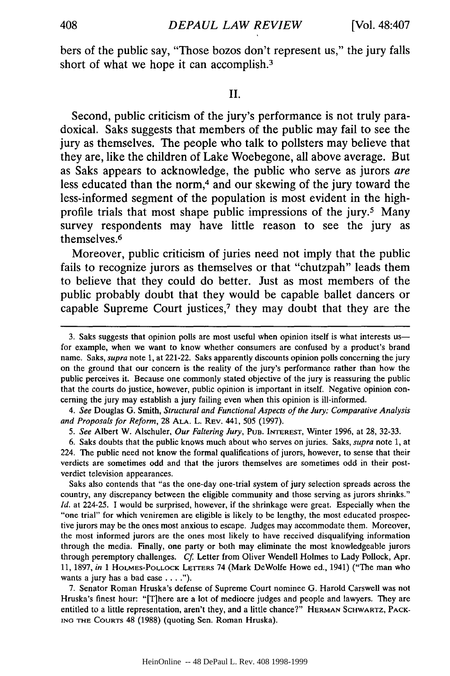bers of the public say, "Those bozos don't represent us," the jury falls short of what we hope it can accomplish.<sup>3</sup>

#### II.

Second, public criticism of the jury's performance is not truly paradoxical. Saks suggests that members of the public may fail to see the jury as themselves. The people who talk to pollsters may believe that they are, like the children of Lake Woebegone, all above average. But as Saks appears to acknowledge, the public who serve as jurors are less educated than the norm,<sup>4</sup> and our skewing of the jury toward the less-informed segment of the population is most evident in the highprofile trials that most shape public impressions of the jury.5 Many survey respondents may have little reason to see the jury as themselves. <sup>6</sup>

Moreover, public criticism of juries need not imply that the public fails to recognize jurors as themselves or that "chutzpah" leads them to believe that they could do better. Just as most members of the public probably doubt that they would be capable ballet dancers or capable Supreme Court justices,7 they may doubt that they are the

*4. See* Douglas G. Smith, *Structural and Functional Aspects of the Jury: Comparative Analysis and Proposals for Reform,* 28 **ALA.** L. REV. 441, 505 (1997).

*5. See* Albert W. Alschuler, *Our Faltering Jury,* **PUB. INTEREST,** Winter 1996, at 28, 32-33.

6. Saks doubts that the public knows much about who serves on juries. Saks, *supra* note 1, at 224. The public need not know the formal qualifications of jurors, however, to sense that their verdicts are sometimes odd and that the jurors themselves are sometimes odd in their postverdict television appearances.

Saks also contends that "as the one-day one-trial system of jury selection spreads across the country, any discrepancy between the eligible community and those serving as jurors shrinks." *Id.* at 224-25. I would be surprised, however, if the shrinkage were great. Especially when the "one trial" for which veniremen are eligible is likely to be lengthy, the most educated prospective jurors may be the ones most anxious to escape. Judges may accommodate them. Moreover, the most informed jurors are the ones most likely to have received disqualifying information through the media. Finally, one party or both may eliminate the most knowledgeable jurors through peremptory challenges. **Cf.** Letter from Oliver Wendell Holmes to Lady Pollock, Apr. 11, 1897, *in* 1 HOLMES-POLLOCK LETTrERS 74 (Mark DeWolfe Howe ed., 1941) ("The man who wants a jury has a bad case **.... ).**

7. Senator Roman Hruska's defense of Supreme Court nominee G. Harold Carswell was not Hruska's finest hour: "[T]here are a lot of mediocre judges and people and lawyers. They are entitled to a little representation, aren't they, and a little chance?" HERMAN SCHWARTZ, PACK-**ING** THE COURTS 48 (1988) (quoting Sen. Roman Hruska).

<sup>3.</sup> Saks suggests that opinion polls are most useful when opinion itself is what interests us for example, when we want to know whether consumers are confused by a product's brand name. Saks, supra note 1, at 221-22. Saks apparently discounts opinion polls concerning the jury on the ground that our concern is the reality of the jury's performance rather than how the public perceives it. Because one commonly stated objective of the jury is reassuring the public that the courts do justice, however, public opinion is important in itself. Negative opinion concerning the jury may establish a jury failing even when this opinion is ill-informed.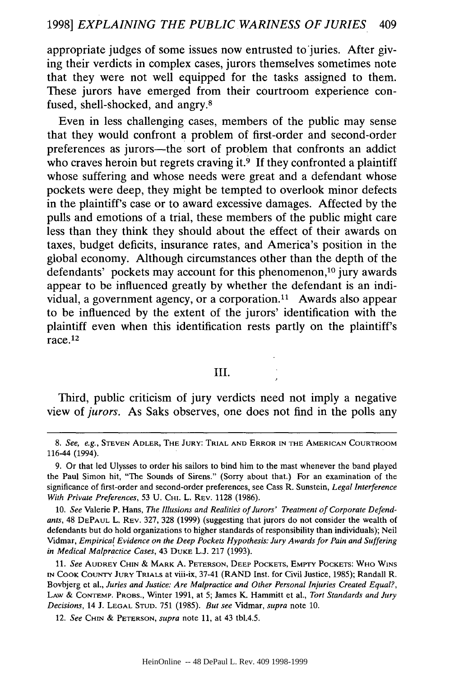appropriate judges of some issues now entrusted to juries. After giving their verdicts in complex cases, jurors themselves sometimes note that they were not well equipped for the tasks assigned to them. These jurors have emerged from their courtroom experience confused, shell-shocked, and angry. <sup>8</sup>

Even in less challenging cases, members of the public may sense that they would confront a problem of first-order and second-order preferences as jurors-the sort of problem that confronts an addict who craves heroin but regrets craving it.<sup>9</sup> If they confronted a plaintiff whose suffering and whose needs were great and a defendant whose pockets were deep, they might be tempted to overlook minor defects in the plaintiff's case or to award excessive damages. Affected by the pulls and emotions of a trial, these members of the public might care less than they think they should about the effect of their awards on taxes, budget deficits, insurance rates, and America's position in the global economy. Although circumstances other than the depth of the defendants' pockets may account for this phenomenon,<sup>10</sup> jury awards appear to be influenced greatly by whether the defendant is an individual, a government agency, or a corporation.<sup>11</sup> Awards also appear to be influenced by the extent of the jurors' identification with the plaintiff even when this identification rests partly on the plaintiff's  $r = r$ 

## III.

Third, public criticism of jury verdicts need not imply a negative view of *jurors.* As Saks observes, one does not find in the polls any

**11.** *See* AUDREY **CHIN** *&* MARK **A. PETERSON, DEEP** POCKETS, EMPTY POCKETS: WHO **WINS IN** COOK COUNTY **JURY** TRIALS at viii-ix, 37-41 (RAND Inst. for Civil Justice, 1985); Randall R. Bovbjerg et al., *Juries and Justice: Are Malpractice and Other Personal Injuries Created Equal?,* **LAW** & **CONTEMP.** PROBS., Winter 1991, at 5; James K. Hammitt et al., *Tort Standards and Jury Decisions,* 14 J. **LEGAL STUD.** 751 (1985). *But see* Vidmar, *supra* note 10.

12. *See CHIN* & **PETERSON,** *supra* note 11, at 43 tbl.4.5.

*<sup>8.</sup> See, e.g.,* **STEVEN** ADLER, THE **JURY:** TRIAL **AND** ERROR **IN THE AMERICAN** COURTROOM 116-44 (1994).

<sup>9.</sup> Or that led Ulysses to order his sailors to bind him to the mast whenever the band played the Paul Simon hit, "The Sounds of Sirens." (Sorry about that.) For an examination of the significance of first-order and second-order preferences, see Cass R. Sunstein, *Legal Interference With Private Preferences,* 53 **U.** CHI. L. REV. 1128 (1986).

**<sup>10.</sup>** *See* Valerie P. Hans, *The Illusions and Realities of Jurors' Treatment of Corporate Defendants,* 48 **DEPAUL** L. REV. 327, 328 (1999) (suggesting that jurors do not consider the wealth of defendants but do hold organizations to higher standards of responsibility than individuals); Neil Vidmar, *Empirical Evidence on the Deep Pockets Hypothesis: Jury Awards for Pain and Suffering in Medical Malpractice Cases,* 43 **DUKE** L.J. 217 (1993).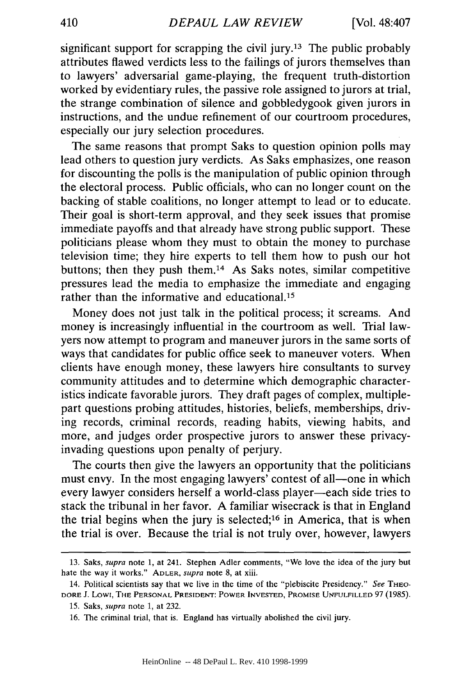significant support for scrapping the civil jury.<sup>13</sup> The public probably attributes flawed verdicts less to the failings of jurors themselves than to lawyers' adversarial game-playing, the frequent truth-distortion worked by evidentiary rules, the passive role assigned to jurors at trial, the strange combination of silence and gobbledygook given jurors in instructions, and the undue refinement of our courtroom procedures, especially our jury selection procedures.

The same reasons that prompt Saks to question opinion polls may lead others to question jury verdicts. As Saks emphasizes, one reason for discounting the polls is the manipulation of public opinion through the electoral process. Public officials, who can no longer count on the backing of stable coalitions, no longer attempt to lead or to educate. Their goal is short-term approval, and they seek issues that promise immediate payoffs and that already have strong public support. These politicians please whom they must to obtain the money to purchase television time; they hire experts to tell them how to push our hot buttons; then they push them.14 As Saks notes, similar competitive pressures lead the media to emphasize the immediate and engaging rather than the informative and educational.<sup>15</sup>

Money does not just talk in the political process; it screams. And money is increasingly influential in the courtroom as well. Trial lawyers now attempt to program and maneuver jurors in the same sorts of ways that candidates for public office seek to maneuver voters. When clients have enough money, these lawyers hire consultants to survey community attitudes and to determine which demographic characteristics indicate favorable jurors. They draft pages of complex, multiplepart questions probing attitudes, histories, beliefs, memberships, driving records, criminal records, reading habits, viewing habits, and more, and judges order prospective jurors to answer these privacyinvading questions upon penalty of perjury.

The courts then give the lawyers an opportunity that the politicians must envy. In the most engaging lawyers' contest of all—one in which every lawyer considers herself a world-class player—each side tries to stack the tribunal in her favor. A familiar wisecrack is that in England the trial begins when the jury is selected;<sup>16</sup> in America, that is when the trial is over. Because the trial is not truly over, however, lawyers

<sup>13.</sup> Saks, supra note 1, at 241. Stephen Adler comments, "We love the idea of the jury but hate the way it works." ADLER, supra note 8, at xiii.

<sup>14.</sup> Political scientists say that we live in the time of the "plebiscite Presidency." See THEO-DORE J. Lowi, THE **PERSONAL PRESIDENT:** POWER **INVESTED,** PROMISE **UNFULFILLED** 97 (1985).

<sup>15.</sup> Saks, supra note 1, at 232.

<sup>16.</sup> The criminal trial, that is. England has virtually abolished the civil jury.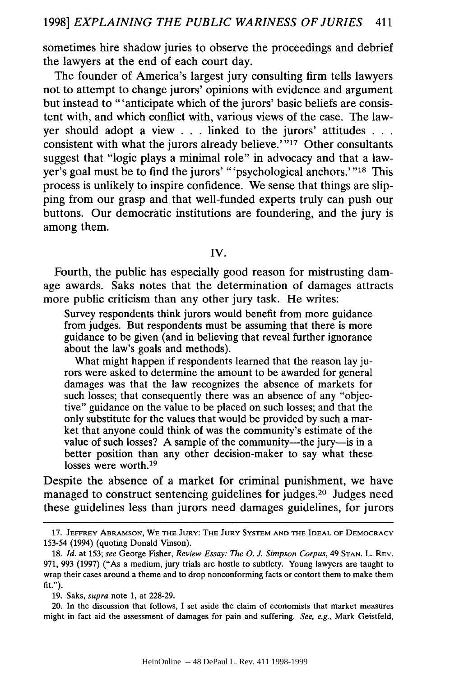sometimes hire shadow juries to observe the proceedings and debrief the lawyers at the end of each court day.

The founder of America's largest jury consulting firm tells lawyers not to attempt to change jurors' opinions with evidence and argument but instead to "'anticipate which of the jurors' basic beliefs are consistent with, and which conflict with, various views of the case. The lawyer should adopt a view . . . linked to the jurors' attitudes **. . .** consistent with what the jurors already believe.'"<sup>17</sup> Other consultants suggest that "logic plays a minimal role" in advocacy and that a lawyer's goal must be to find the jurors' "'psychological anchors.'"18 This process is unlikely to inspire confidence. We sense that things are slipping from our grasp and that well-funded experts truly can push our buttons. Our democratic institutions are foundering, and the jury is among them.

IV.

Fourth, the public has especially good reason for mistrusting damage awards. Saks notes that the determination of damages attracts more public criticism than any other jury task. He writes:

Survey respondents think jurors would benefit from more guidance from judges. But respondents must be assuming that there is more guidance to be given (and in believing that reveal further ignorance about the law's goals and methods).

What might happen if respondents learned that the reason lay jurors were asked to determine the amount to be awarded for general damages was that the law recognizes the absence of markets for such losses; that consequently there was an absence of any "objective" guidance on the value to be placed on such losses; and that the only substitute for the values that would be provided by such a market that anyone could think of was the community's estimate of the value of such losses? A sample of the community—the jury—is in a better position than any other decision-maker to say what these losses were worth.<sup>19</sup>

Despite the absence of a market for criminal punishment, we have managed to construct sentencing guidelines for judges. 20 Judges need these guidelines less than jurors need damages guidelines, for jurors

**<sup>17.</sup> JEFFREY ABRAMSON,** WE **THE JURY:** THE **JURY** SYSTEM **AND THE IDEAL** OF DEMOCRACY 153-54 (1994) (quoting Donald Vinson).

<sup>18.</sup> *Id.* at 153; see George Fisher, *Review Essay: The 0. J. Simpson Corpus,* 49 **STAN.** L. REV. 971, 993 (1997) ("As a medium, jury trials are hostle to subtlety. Young lawyers are taught to wrap their cases around a theme and to drop nonconforming facts or contort them to make them fit.").

<sup>19.</sup> Saks, *supra* note 1, at 228-29.

<sup>20.</sup> In the discussion that follows, I set aside the claim of economists that market measures might in fact aid the assessment of damages for pain and suffering. *See, e.g.,* Mark Geistfeld,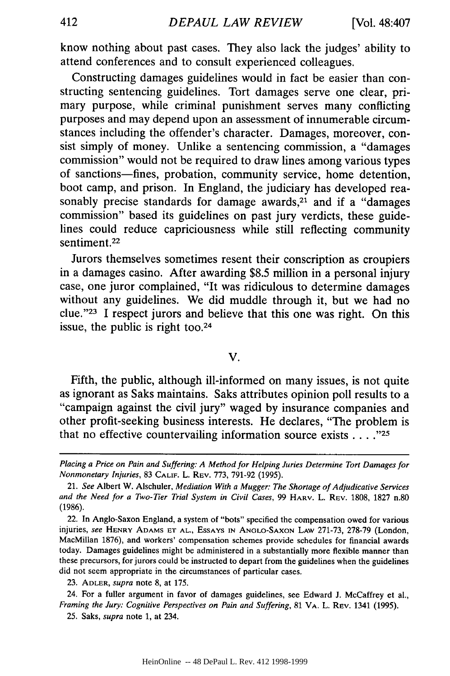know nothing about past cases. They also lack the judges' ability to attend conferences and to consult experienced colleagues.

Constructing damages guidelines would in fact be easier than constructing sentencing guidelines. Tort damages serve one clear, primary purpose, while criminal punishment serves many conflicting purposes and may depend upon an assessment of innumerable circumstances including the offender's character. Damages, moreover, consist simply of money. Unlike a sentencing commission, a "damages commission" would not be required to draw lines among various types of sanctions-fines, probation, community service, home detention, boot camp, and prison. In England, the judiciary has developed reasonably precise standards for damage awards,<sup>21</sup> and if a "damages commission" based its guidelines on past jury verdicts, these guidelines could reduce capriciousness while still reflecting community sentiment.<sup>22</sup>

Jurors themselves sometimes resent their conscription as croupiers in a damages casino. After awarding \$8.5 million in a personal injury case, one juror complained, "It was ridiculous to determine damages without any guidelines. We did muddle through it, but we had no clue."<sup>23</sup> I respect jurors and believe that this one was right. On this issue, the public is right too.<sup>24</sup>

### V.

Fifth, the public, although ill-informed on many issues, is not quite as ignorant as Saks maintains. Saks attributes opinion poll results to a "campaign against the civil jury" waged by insurance companies and other profit-seeking business interests. He declares, "The problem is that no effective countervailing information source exists **....** *"25*

*Placing a Price on Pain and Suffering: A Method for Helping Juries Determine Tort Damages for Nonmonetary Injuries,* 83 **CALIF.** L. REV. 773, 791-92 (1995).

<sup>21.</sup> *See* Albert W. Alschuler, *Mediation With a Mugger: The Shortage of Adjudicative Services and the Need for a Two-Tier Trial System in Civil Cases,* 99 HARV. L. REV. 1808, 1827 n.80 (1986).

<sup>22.</sup> In Anglo-Saxon England, a system of "bots" specified the compensation owed for various injuries, *see* HENRY **ADAMS ET AL.,** ESSAYS **IN ANGLO-SAXON** LAW 271-73, 278-79 (London, MacMillan 1876), and workers' compensation schemes provide schedules for financial awards today. Damages guidelines might be administered in a substantially more flexible manner than these precursors, for jurors could be instructed to depart from the guidelines when the guidelines did not seem appropriate in the circumstances of particular cases.

<sup>23.</sup> ADLER, *supra* note 8, at 175.

<sup>24.</sup> For a fuller argument in favor of damages guidelines, see Edward J. McCaffrey et al., *Framing the Jury: Cognitive Perspectives on Pain and Suffering,* 81 VA. L. REV. 1341 (1995).

<sup>25.</sup> Saks, *supra* note **1,** at 234.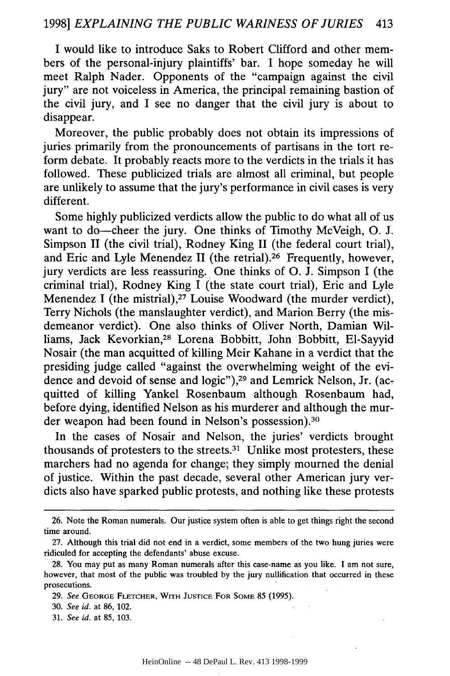I would like to introduce Saks to Robert Clifford and other members of the personal-injury plaintiffs' bar. I hope someday he will meet Ralph Nader. Opponents of the "campaign against the civil jury" are not voiceless in America, the principal remaining bastion of the civil jury, and I see no danger that the civil jury is about to disappear.

Moreover, the public probably does not obtain its impressions of juries primarily from the pronouncements of partisans in the tort reform debate. It probably reacts more to the verdicts in the trials it has followed. These publicized trials are almost all criminal, but people are unlikely to assume that the jury's performance in civil cases is very different.

Some highly publicized verdicts allow the public to do what all of us want to do-cheer the jury. One thinks of Timothy McVeigh, O. J. Simpson II (the civil trial), Rodney King II (the federal court trial), and Eric and Lyle Menendez II (the retrial).<sup>26</sup> Frequently, however, jury verdicts are less reassuring. One thinks of **0.** J. Simpson I (the criminal trial), Rodney King I (the state court trial), Eric and Lyle Menendez I (the mistrial), $27$  Louise Woodward (the murder verdict), Terry Nichols (the manslaughter verdict), and Marion Berry (the misdemeanor verdict). One also thinks of Oliver North, Damian Williams, Jack Kevorkian,<sup>28</sup> Lorena Bobbitt, John Bobbitt, El-Sayyid Nosair (the man acquitted of killing Meir Kahane in a verdict that the presiding judge called "against the overwhelming weight of the evidence and devoid of sense and logic"), 29 and Lemrick Nelson, Jr. (acquitted of killing Yankel Rosenbaum although Rosenbaum had, before dying, identified Nelson as his murderer and although the murder weapon had been found in Nelson's possession).<sup>30</sup>

In the cases of Nosair and Nelson, the juries' verdicts brought thousands of protesters to the streets.31 Unlike most protesters, these marchers had no agenda for change; they simply mourned the denial of justice. Within the past decade, several other American jury verdicts also have sparked public protests, and nothing like these protests

<sup>26.</sup> Note the Roman numerals. Our justice system often is able to get things right the second time around.

<sup>27.</sup> Although this trial did not end in a verdict, some members of the two hung juries were ridiculed for accepting the defendants' abuse excuse.

<sup>28.</sup> You may put as many Roman numerals after this case-name as you like. I am not sure, however, that most of the public was troubled by the jury nullification that occurred in these prosecutions.

<sup>29.</sup> *See* **GEORGE** FLETCHER, WITH **JUSTICE** FOR SOME 85 (1995).

<sup>30.</sup> *See id.* at 86, 102.

<sup>31.</sup> *See id.* at 85, 103.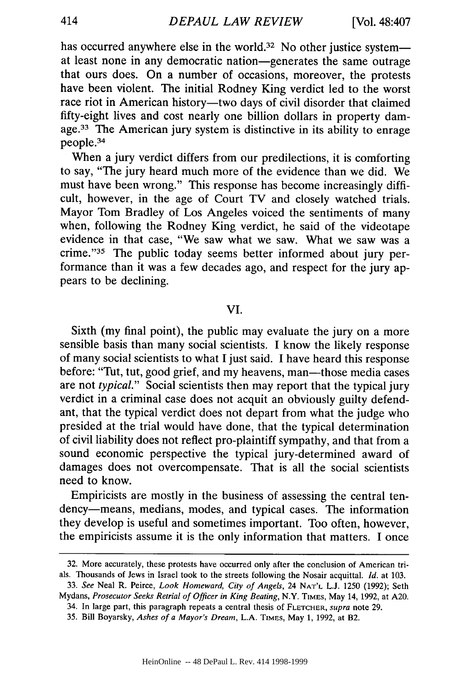has occurred anywhere else in the world.<sup>32</sup> No other justice system at least none in any democratic nation-generates the same outrage that ours does. On a number of occasions, moreover, the protests have been violent. The initial Rodney King verdict led to the worst race riot in American history-two days of civil disorder that claimed fifty-eight lives and cost nearly one billion dollars in property damage.<sup>33</sup> The American jury system is distinctive in its ability to enrage people. <sup>34</sup>

When a jury verdict differs from our predilections, it is comforting to say, "The jury heard much more of the evidence than we did. We must have been wrong." This response has become increasingly difficult, however, in the age of Court TV and closely watched trials. Mayor Tom Bradley of Los Angeles voiced the sentiments of many when, following the Rodney King verdict, he said of the videotape evidence in that case, "We saw what we saw. What we saw was a crime."<sup>35</sup> The public today seems better informed about jury performance than it was a few decades ago, and respect for the jury appears to be declining.

VI.

Sixth (my final point), the public may evaluate the jury on a more sensible basis than many social scientists. I know the likely response of many social scientists to what I just said. I have heard this response before: "Tut, tut, good grief, and my heavens, man—those media cases are not *typical."* Social scientists then may report that the typical jury verdict in a criminal case does not acquit an obviously guilty defendant, that the typical verdict does not depart from what the judge who presided at the trial would have done, that the typical determination of civil liability does not reflect pro-plaintiff sympathy, and that from a sound economic perspective the typical jury-determined award of damages does not overcompensate. That is all the social scientists need to know.

Empiricists are mostly in the business of assessing the central tendency-means, medians, modes, and typical cases. The information they develop is useful and sometimes important. Too often, however, the empiricists assume it is the only information that matters. I once

33. *See* Neal R. Peirce, *Look Homeward, City of Angels,* 24 **NAT'L** L.J. 1250 (1992); Seth Mydans, *Prosecutor Seeks Retrial of Officer in King Beating,* N.Y. **TIMES,** May 14, 1992, at A20.

<sup>32.</sup> More accurately, these protests have occurred only after the conclusion of American trials. Thousands of Jews in Israel took to the streets following the Nosair acquittal. *Id.* at 103.

<sup>34.</sup> In large part, this paragraph repeats a central thesis of FLETCHER, supra note 29.

<sup>35.</sup> Bill Boyarsky, *Ashes of a Mayor's Dream,* L.A. TIMES, May 1, 1992, at B2.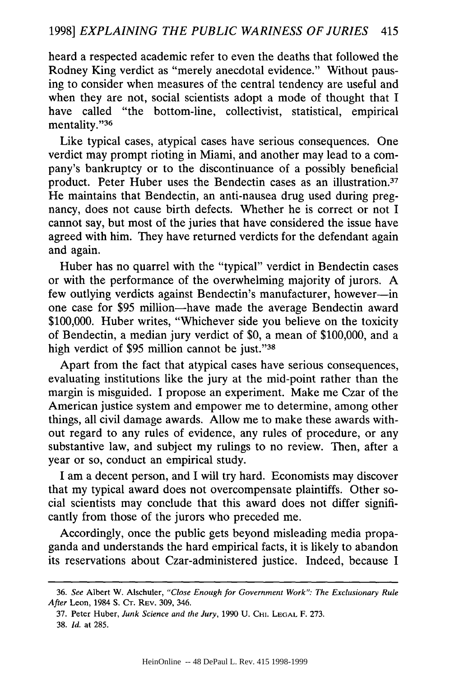heard a respected academic refer to even the deaths that followed the Rodney King verdict as "merely anecdotal evidence." Without pausing to consider when measures of the central tendency are useful and when they are not, social scientists adopt a mode of thought that I have called "the bottom-line, collectivist, statistical, empirical mentality."36

Like typical cases, atypical cases have serious consequences. One verdict may prompt rioting in Miami, and another may lead to a company's bankruptcy or to the discontinuance of a possibly beneficial product. Peter Huber uses the Bendectin cases as an illustration.<sup>37</sup> He maintains that Bendectin, an anti-nausea drug used during pregnancy, does not cause birth defects. Whether he is correct or not I cannot say, but most of the juries that have considered the issue have agreed with him. They have returned verdicts for the defendant again and again.

Huber has no quarrel with the "typical" verdict in Bendectin cases or with the performance of the overwhelming majority of jurors. A few outlying verdicts against Bendectin's manufacturer, however-in one case for \$95 million-have made the average Bendectin award \$100,000. Huber writes, "Whichever side you believe on the toxicity of Bendectin, a median jury verdict of \$0, a mean of \$100,000, and a high verdict of \$95 million cannot be just."38

Apart from the fact that atypical cases have serious consequences, evaluating institutions like the jury at the mid-point rather than the margin is misguided. I propose an experiment. Make me Czar of the American justice system and empower me to determine, among other things, all civil damage awards. Allow me to make these awards without regard to any rules of evidence, any rules of procedure, or any substantive law, and subject my rulings to no review. Then, after a year or so, conduct an empirical study.

I am a decent person, and I will try hard. Economists may discover that my typical award does not overcompensate plaintiffs. Other social scientists may conclude that this award does not differ significantly from those of the jurors who preceded me.

Accordingly, once the public gets beyond misleading media propaganda and understands the hard empirical facts, it is likely to abandon its reservations about Czar-administered justice. Indeed, because I

<sup>36.</sup> *See* Albert W. Alschuler, *"Close Enough for Government Work": The* Exclusionary Rule *After* Leon, 1984 **S.** CT. REV. 309, 346.

<sup>37.</sup> Peter Huber, Junk Science and the Jury, 1990 U. CHI. LEGAL F. 273. 38. *Id.* at 285.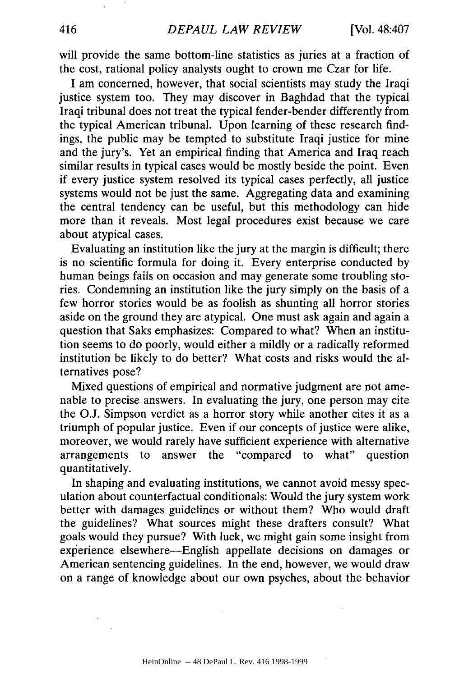will provide the same bottom-line statistics as juries at a fraction of the cost, rational policy analysts ought to crown me Czar for life.

I am concerned, however, that social scientists may study the Iraqi justice system too. They may discover in Baghdad that the typical Iraqi tribunal does not treat the typical fender-bender differently from the typical American tribunal. Upon learning of these research findings, the public may be tempted to substitute Iraqi justice for mine and the jury's. Yet an empirical finding that America and Iraq reach similar results in typical cases would be mostly beside the point. Even if every justice system resolved its typical cases perfectly, all justice systems would not be just the same. Aggregating data and examining the central tendency can be useful, but this methodology can hide more than it reveals. Most legal procedures exist because we care about atypical cases.

Evaluating an institution like the jury at the margin is difficult; there is no scientific formula for doing it. Every enterprise conducted by human beings fails on occasion and may generate some troubling stories. Condemning an institution like the jury simply on the basis of a few horror stories would be as foolish as shunting all horror stories aside on the ground they are atypical. One must ask again and again a question that Saks emphasizes: Compared to what? When an institution seems to do poorly, would either a mildly or a radically reformed institution be likely to do better? What costs and risks would the alternatives pose?

Mixed questions of empirical and normative judgment are not amenable to precise answers. In evaluating the jury, one person may cite the **O.J.** Simpson verdict as a horror story while another cites it as a triumph of popular justice. Even if our concepts of justice were alike, moreover, we would rarely have sufficient experience with alternative arrangements to answer the "compared to what" question quantitatively.

In shaping and evaluating institutions, we cannot avoid messy speculation about counterfactual conditionals: Would the jury system work better with damages guidelines or without them? Who would draft the guidelines? What sources might these drafters consult? What goals would they pursue? With luck, we might gain some insight from experience elsewhere-English appellate decisions on damages or American sentencing guidelines. In the end, however, we would draw on a range of knowledge about our own psyches, about the behavior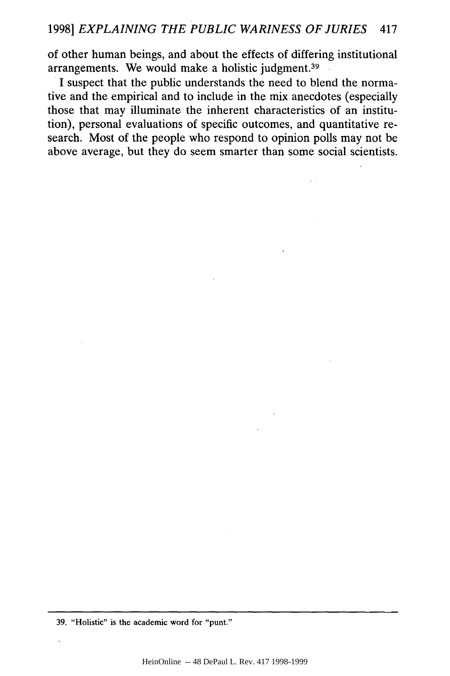of other human beings, and about the effects of differing institutional arrangements. We would make a holistic judgment.<sup>39</sup>

I suspect that the public understands the need to blend the normative and the empirical and to include in the mix anecdotes (especially those that may illuminate the inherent characteristics of an institution), personal evaluations of specific outcomes, and quantitative research. Most of the people who respond to opinion polls may not be above average, but they do seem smarter than some social scientists.